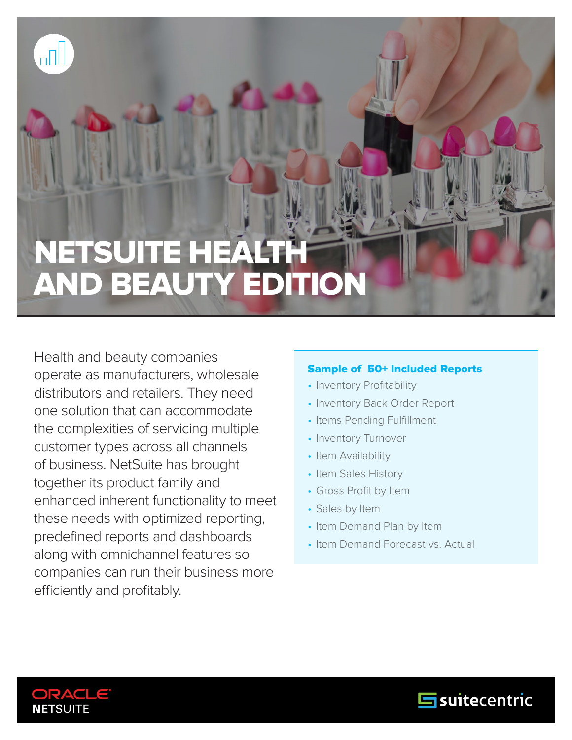# METCHITE LIE NEISUILE HEALII<br>AND DEALITY EN AND BEAUTY EDITION NETSUITE HEALTH

Health and beauty companies operate as manufacturers, wholesale distributors and retailers. They need one solution that can accommodate the complexities of servicing multiple customer types across all channels of business. NetSuite has brought together its product family and enhanced inherent functionality to meet these needs with optimized reporting, predefined reports and dashboards along with omnichannel features so companies can run their business more efficiently and profitably.

#### Sample of 50+ Included Reports

- Inventory Profitability
- Inventory Back Order Report
- Items Pending Fulfillment
- Inventory Turnover
- Item Availability
- Item Sales History
- Gross Profit by Item
- Sales by Item
- Item Demand Plan by Item
- Item Demand Forecast vs. Actual



oOL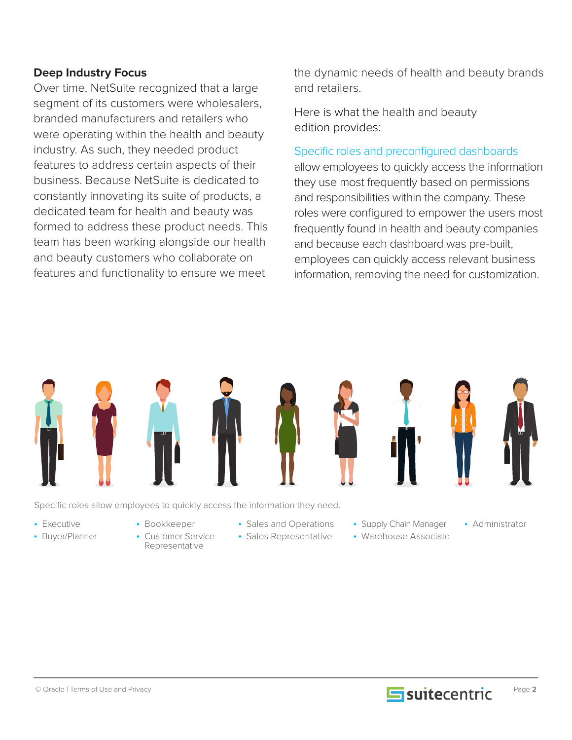#### **Deep Industry Focus**

Over time, NetSuite recognized that a large segment of its customers were wholesalers, branded manufacturers and retailers who were operating within the health and beauty industry. As such, they needed product features to address certain aspects of their business. Because NetSuite is dedicated to constantly innovating its suite of products, a dedicated team for health and beauty was formed to address these product needs. This team has been working alongside our health and beauty customers who collaborate on features and functionality to ensure we meet

the dynamic needs of health and beauty brands and retailers.

Here is what the health and beauty edition provides:

#### Specific roles and preconfigured dashboards

allow employees to quickly access the information they use most frequently based on permissions and responsibilities within the company. These roles were configured to empower the users most frequently found in health and beauty companies and because each dashboard was pre-built, employees can quickly access relevant business information, removing the need for customization.



Specific roles allow employees to quickly access the information they need.

- Executive
- Buyer/Planner
- Bookkeeper
- Customer Service Representative
- 
- Sales Representative
- Sales and Operations Supply Chain Manager Administrator • Supply Chain Manager • Warehouse Associate
	-

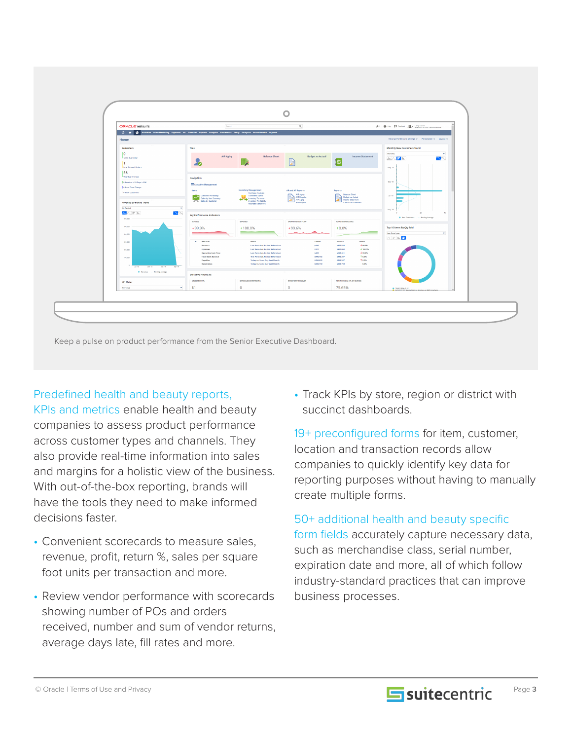

Keep a pulse on product performance from the Senior Executive Dashboard.

#### Predefined health and beauty reports,

KPIs and metrics enable health and beauty companies to assess product performance across customer types and channels. They also provide real-time information into sales and margins for a holistic view of the business. With out-of-the-box reporting, brands will have the tools they need to make informed decisions faster.

- Convenient scorecards to measure sales, revenue, profit, return %, sales per square foot units per transaction and more.
- Review vendor performance with scorecards showing number of POs and orders received, number and sum of vendor returns, average days late, fill rates and more.

• Track KPIs by store, region or district with succinct dashboards.

19+ preconfigured forms for item, customer, location and transaction records allow companies to quickly identify key data for reporting purposes without having to manually create multiple forms.

50+ additional health and beauty specific form fields accurately capture necessary data, such as merchandise class, serial number, expiration date and more, all of which follow industry-standard practices that can improve business processes.

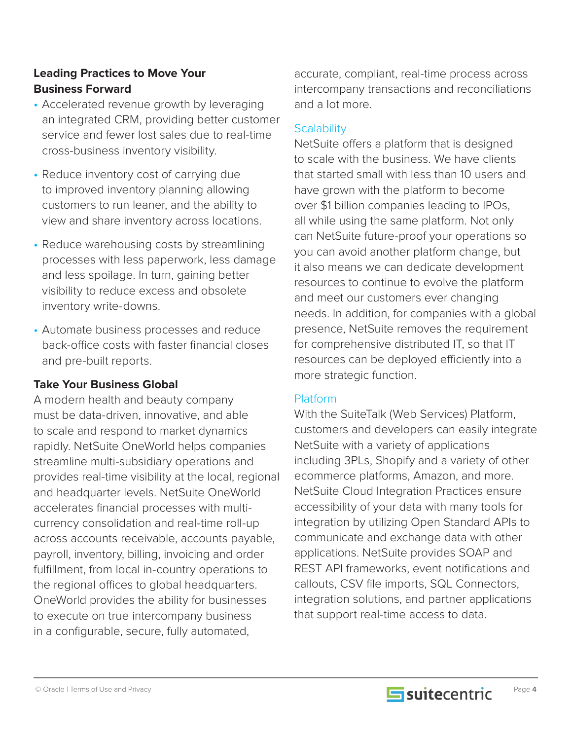#### **Leading Practices to Move Your Business Forward**

- Accelerated revenue growth by leveraging an integrated CRM, providing better customer service and fewer lost sales due to real-time cross-business inventory visibility.
- Reduce inventory cost of carrying due to improved inventory planning allowing customers to run leaner, and the ability to view and share inventory across locations.
- Reduce warehousing costs by streamlining processes with less paperwork, less damage and less spoilage. In turn, gaining better visibility to reduce excess and obsolete inventory write-downs.
- Automate business processes and reduce back-office costs with faster financial closes and pre-built reports.

#### **Take Your Business Global**

A modern health and beauty company must be data-driven, innovative, and able to scale and respond to market dynamics rapidly. NetSuite OneWorld helps companies streamline multi-subsidiary operations and provides real-time visibility at the local, regional and headquarter levels. NetSuite OneWorld accelerates financial processes with multicurrency consolidation and real-time roll-up across accounts receivable, accounts payable, payroll, inventory, billing, invoicing and order fulfillment, from local in-country operations to the regional offices to global headquarters. OneWorld provides the ability for businesses to execute on true intercompany business in a configurable, secure, fully automated,

accurate, compliant, real-time process across intercompany transactions and reconciliations and a lot more.

### **Scalability**

NetSuite offers a platform that is designed to scale with the business. We have clients that started small with less than 10 users and have grown with the platform to become over \$1 billion companies leading to IPOs, all while using the same platform. Not only can NetSuite future-proof your operations so you can avoid another platform change, but it also means we can dedicate development resources to continue to evolve the platform and meet our customers ever changing needs. In addition, for companies with a global presence, NetSuite removes the requirement for comprehensive distributed IT, so that IT resources can be deployed efficiently into a more strategic function.

#### Platform

With the SuiteTalk (Web Services) Platform, customers and developers can easily integrate NetSuite with a variety of applications including 3PLs, Shopify and a variety of other ecommerce platforms, Amazon, and more. NetSuite Cloud Integration Practices ensure accessibility of your data with many tools for integration by utilizing Open Standard APIs to communicate and exchange data with other applications. NetSuite provides SOAP and REST API frameworks, event notifications and callouts, CSV file imports, SQL Connectors, integration solutions, and partner applications that support real-time access to data.